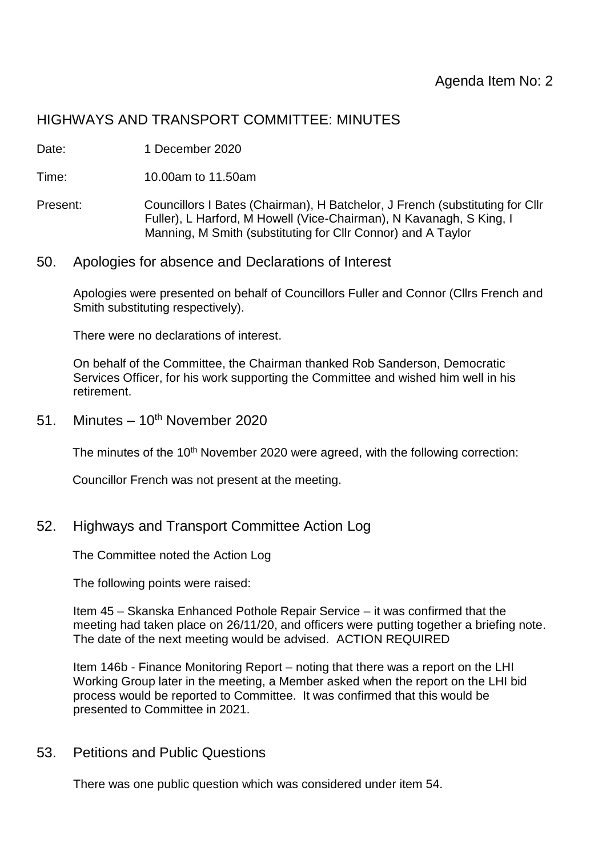# HIGHWAYS AND TRANSPORT COMMITTEE: MINUTES

Date: 1 December 2020

Time: 10.00am to 11.50am

- Present: Councillors I Bates (Chairman), H Batchelor, J French (substituting for Cllr Fuller), L Harford, M Howell (Vice-Chairman), N Kavanagh, S King, I Manning, M Smith (substituting for Cllr Connor) and A Taylor
- 50. Apologies for absence and Declarations of Interest

Apologies were presented on behalf of Councillors Fuller and Connor (Cllrs French and Smith substituting respectively).

There were no declarations of interest.

On behalf of the Committee, the Chairman thanked Rob Sanderson, Democratic Services Officer, for his work supporting the Committee and wished him well in his retirement.

51. Minutes –  $10^{th}$  November 2020

The minutes of the 10<sup>th</sup> November 2020 were agreed, with the following correction:

Councillor French was not present at the meeting.

52. Highways and Transport Committee Action Log

The Committee noted the Action Log

The following points were raised:

Item 45 – Skanska Enhanced Pothole Repair Service – it was confirmed that the meeting had taken place on 26/11/20, and officers were putting together a briefing note. The date of the next meeting would be advised. ACTION REQUIRED

Item 146b - Finance Monitoring Report – noting that there was a report on the LHI Working Group later in the meeting, a Member asked when the report on the LHI bid process would be reported to Committee. It was confirmed that this would be presented to Committee in 2021.

53. Petitions and Public Questions

There was one public question which was considered under item 54.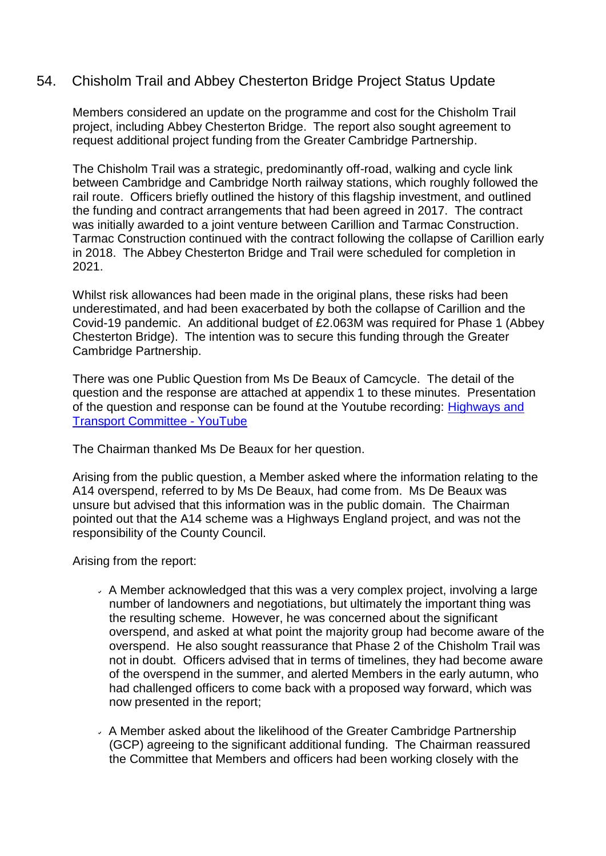## 54. Chisholm Trail and Abbey Chesterton Bridge Project Status Update

Members considered an update on the programme and cost for the Chisholm Trail project, including Abbey Chesterton Bridge. The report also sought agreement to request additional project funding from the Greater Cambridge Partnership.

The Chisholm Trail was a strategic, predominantly off-road, walking and cycle link between Cambridge and Cambridge North railway stations, which roughly followed the rail route. Officers briefly outlined the history of this flagship investment, and outlined the funding and contract arrangements that had been agreed in 2017. The contract was initially awarded to a joint venture between Carillion and Tarmac Construction. Tarmac Construction continued with the contract following the collapse of Carillion early in 2018. The Abbey Chesterton Bridge and Trail were scheduled for completion in 2021.

Whilst risk allowances had been made in the original plans, these risks had been underestimated, and had been exacerbated by both the collapse of Carillion and the Covid-19 pandemic. An additional budget of £2.063M was required for Phase 1 (Abbey Chesterton Bridge). The intention was to secure this funding through the Greater Cambridge Partnership.

There was one Public Question from Ms De Beaux of Camcycle. The detail of the question and the response are attached at appendix 1 to these minutes. Presentation of the question and response can be found at the Youtube recording: [Highways](https://www.youtube.com/watch?v=RF2LIN0O-iA) and Transport [Committee](https://www.youtube.com/watch?v=RF2LIN0O-iA) - YouTube

The Chairman thanked Ms De Beaux for her question.

Arising from the public question, a Member asked where the information relating to the A14 overspend, referred to by Ms De Beaux, had come from. Ms De Beaux was unsure but advised that this information was in the public domain. The Chairman pointed out that the A14 scheme was a Highways England project, and was not the responsibility of the County Council.

Arising from the report:

- $\overline{\phantom{a}}$  A Member acknowledged that this was a very complex project, involving a large number of landowners and negotiations, but ultimately the important thing was the resulting scheme. However, he was concerned about the significant overspend, and asked at what point the majority group had become aware of the overspend. He also sought reassurance that Phase 2 of the Chisholm Trail was not in doubt. Officers advised that in terms of timelines, they had become aware of the overspend in the summer, and alerted Members in the early autumn, who had challenged officers to come back with a proposed way forward, which was now presented in the report;
- $\overline{\phantom{a}}$  A Member asked about the likelihood of the Greater Cambridge Partnership (GCP) agreeing to the significant additional funding. The Chairman reassured the Committee that Members and officers had been working closely with the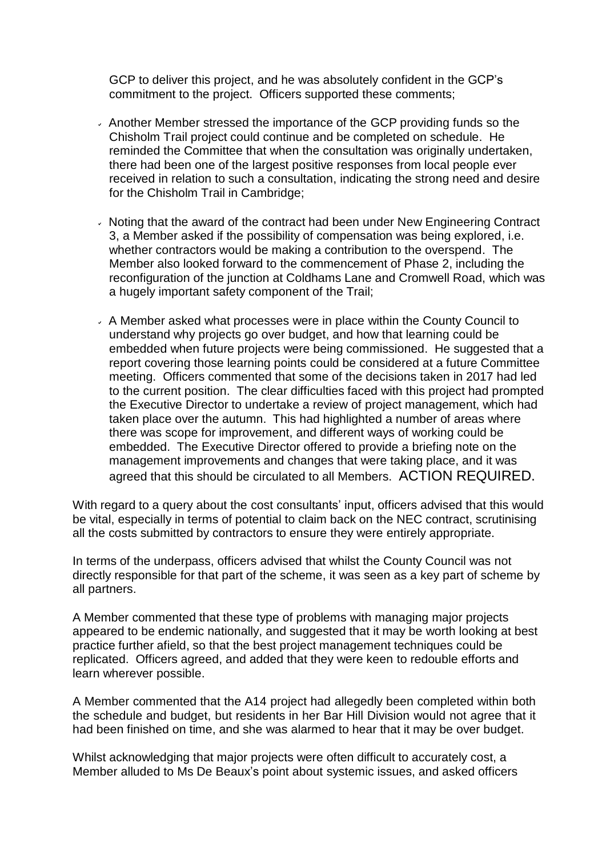GCP to deliver this project, and he was absolutely confident in the GCP's commitment to the project. Officers supported these comments;

- $\overline{\phantom{a}}$  Another Member stressed the importance of the GCP providing funds so the Chisholm Trail project could continue and be completed on schedule. He reminded the Committee that when the consultation was originally undertaken, there had been one of the largest positive responses from local people ever received in relation to such a consultation, indicating the strong need and desire for the Chisholm Trail in Cambridge;
- $\cdot$  Noting that the award of the contract had been under New Engineering Contract 3, a Member asked if the possibility of compensation was being explored, i.e. whether contractors would be making a contribution to the overspend. The Member also looked forward to the commencement of Phase 2, including the reconfiguration of the junction at Coldhams Lane and Cromwell Road, which was a hugely important safety component of the Trail;
- A Member asked what processes were in place within the County Council to understand why projects go over budget, and how that learning could be embedded when future projects were being commissioned. He suggested that a report covering those learning points could be considered at a future Committee meeting. Officers commented that some of the decisions taken in 2017 had led to the current position. The clear difficulties faced with this project had prompted the Executive Director to undertake a review of project management, which had taken place over the autumn. This had highlighted a number of areas where there was scope for improvement, and different ways of working could be embedded. The Executive Director offered to provide a briefing note on the management improvements and changes that were taking place, and it was agreed that this should be circulated to all Members. ACTION REQUIRED.

With regard to a query about the cost consultants' input, officers advised that this would be vital, especially in terms of potential to claim back on the NEC contract, scrutinising all the costs submitted by contractors to ensure they were entirely appropriate.

In terms of the underpass, officers advised that whilst the County Council was not directly responsible for that part of the scheme, it was seen as a key part of scheme by all partners.

A Member commented that these type of problems with managing major projects appeared to be endemic nationally, and suggested that it may be worth looking at best practice further afield, so that the best project management techniques could be replicated. Officers agreed, and added that they were keen to redouble efforts and learn wherever possible.

A Member commented that the A14 project had allegedly been completed within both the schedule and budget, but residents in her Bar Hill Division would not agree that it had been finished on time, and she was alarmed to hear that it may be over budget.

Whilst acknowledging that major projects were often difficult to accurately cost, a Member alluded to Ms De Beaux's point about systemic issues, and asked officers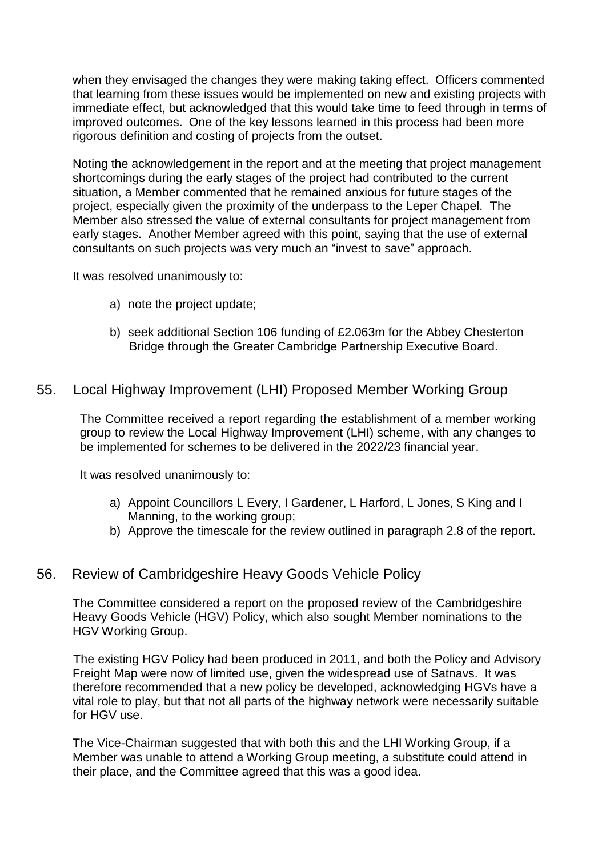when they envisaged the changes they were making taking effect. Officers commented that learning from these issues would be implemented on new and existing projects with immediate effect, but acknowledged that this would take time to feed through in terms of improved outcomes. One of the key lessons learned in this process had been more rigorous definition and costing of projects from the outset.

Noting the acknowledgement in the report and at the meeting that project management shortcomings during the early stages of the project had contributed to the current situation, a Member commented that he remained anxious for future stages of the project, especially given the proximity of the underpass to the Leper Chapel. The Member also stressed the value of external consultants for project management from early stages. Another Member agreed with this point, saying that the use of external consultants on such projects was very much an "invest to save" approach.

It was resolved unanimously to:

- a) note the project update;
- b) seek additional Section 106 funding of £2.063m for the Abbey Chesterton Bridge through the Greater Cambridge Partnership Executive Board.

### 55. Local Highway Improvement (LHI) Proposed Member Working Group

The Committee received a report regarding the establishment of a member working group to review the Local Highway Improvement (LHI) scheme, with any changes to be implemented for schemes to be delivered in the 2022/23 financial year.

It was resolved unanimously to:

- a) Appoint Councillors L Every, I Gardener, L Harford, L Jones, S King and I Manning, to the working group;
- b) Approve the timescale for the review outlined in paragraph 2.8 of the report.

### 56. Review of Cambridgeshire Heavy Goods Vehicle Policy

The Committee considered a report on the proposed review of the Cambridgeshire Heavy Goods Vehicle (HGV) Policy, which also sought Member nominations to the HGV Working Group.

The existing HGV Policy had been produced in 2011, and both the Policy and Advisory Freight Map were now of limited use, given the widespread use of Satnavs. It was therefore recommended that a new policy be developed, acknowledging HGVs have a vital role to play, but that not all parts of the highway network were necessarily suitable for HGV use.

The Vice-Chairman suggested that with both this and the LHI Working Group, if a Member was unable to attend a Working Group meeting, a substitute could attend in their place, and the Committee agreed that this was a good idea.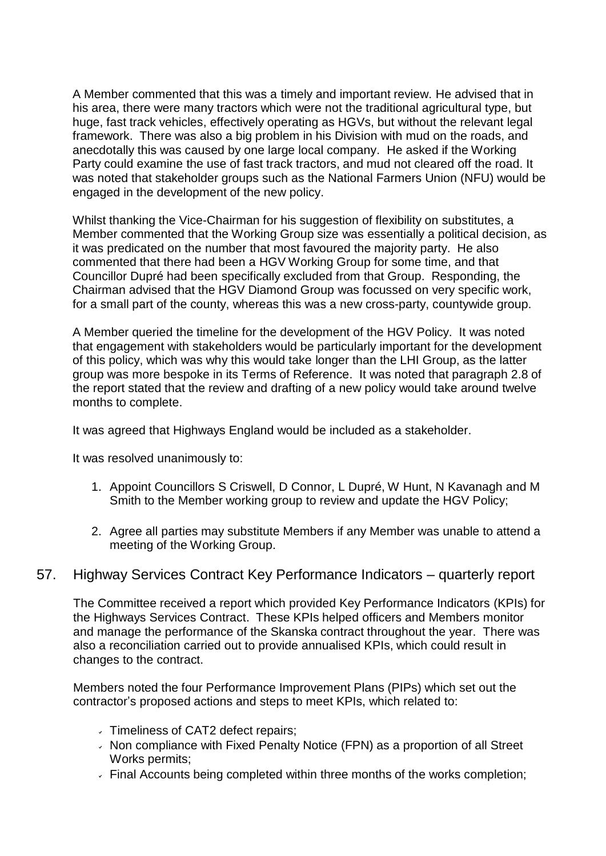A Member commented that this was a timely and important review. He advised that in his area, there were many tractors which were not the traditional agricultural type, but huge, fast track vehicles, effectively operating as HGVs, but without the relevant legal framework. There was also a big problem in his Division with mud on the roads, and anecdotally this was caused by one large local company. He asked if the Working Party could examine the use of fast track tractors, and mud not cleared off the road. It was noted that stakeholder groups such as the National Farmers Union (NFU) would be engaged in the development of the new policy.

Whilst thanking the Vice-Chairman for his suggestion of flexibility on substitutes, a Member commented that the Working Group size was essentially a political decision, as it was predicated on the number that most favoured the majority party. He also commented that there had been a HGV Working Group for some time, and that Councillor Dupré had been specifically excluded from that Group. Responding, the Chairman advised that the HGV Diamond Group was focussed on very specific work, for a small part of the county, whereas this was a new cross-party, countywide group.

A Member queried the timeline for the development of the HGV Policy. It was noted that engagement with stakeholders would be particularly important for the development of this policy, which was why this would take longer than the LHI Group, as the latter group was more bespoke in its Terms of Reference. It was noted that paragraph 2.8 of the report stated that the review and drafting of a new policy would take around twelve months to complete.

It was agreed that Highways England would be included as a stakeholder.

It was resolved unanimously to:

- 1. Appoint Councillors S Criswell, D Connor, L Dupré, W Hunt, N Kavanagh and M Smith to the Member working group to review and update the HGV Policy;
- 2. Agree all parties may substitute Members if any Member was unable to attend a meeting of the Working Group.

### 57. Highway Services Contract Key Performance Indicators – quarterly report

The Committee received a report which provided Key Performance Indicators (KPIs) for the Highways Services Contract. These KPIs helped officers and Members monitor and manage the performance of the Skanska contract throughout the year. There was also a reconciliation carried out to provide annualised KPIs, which could result in changes to the contract.

Members noted the four Performance Improvement Plans (PIPs) which set out the contractor's proposed actions and steps to meet KPIs, which related to:

- Timeliness of CAT2 defect repairs;
- $\cdot$  Non compliance with Fixed Penalty Notice (FPN) as a proportion of all Street Works permits;
- $\overline{\phantom{a}}$  Final Accounts being completed within three months of the works completion;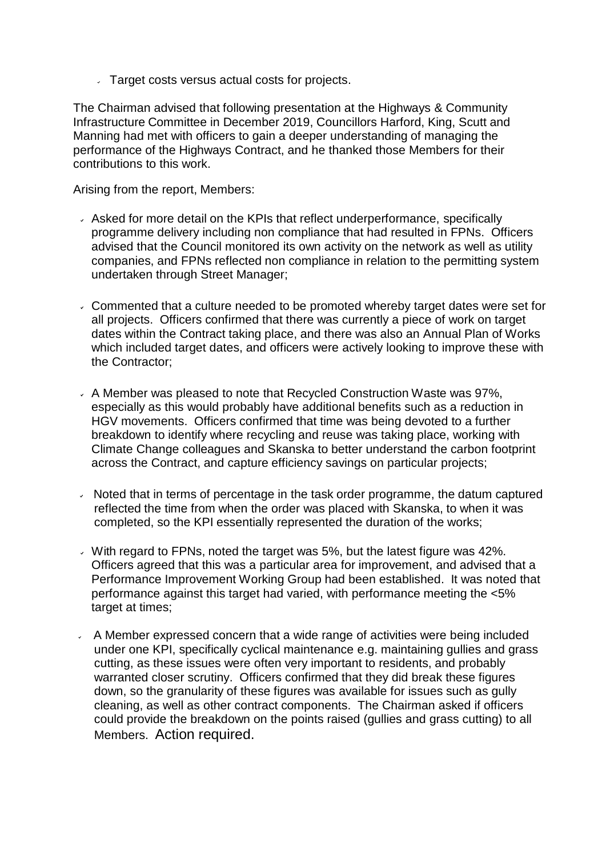Target costs versus actual costs for projects.

The Chairman advised that following presentation at the Highways & Community Infrastructure Committee in December 2019, Councillors Harford, King, Scutt and Manning had met with officers to gain a deeper understanding of managing the performance of the Highways Contract, and he thanked those Members for their contributions to this work.

Arising from the report, Members:

- Asked for more detail on the KPIs that reflect underperformance, specifically programme delivery including non compliance that had resulted in FPNs. Officers advised that the Council monitored its own activity on the network as well as utility companies, and FPNs reflected non compliance in relation to the permitting system undertaken through Street Manager;
- Commented that a culture needed to be promoted whereby target dates were set for all projects. Officers confirmed that there was currently a piece of work on target dates within the Contract taking place, and there was also an Annual Plan of Works which included target dates, and officers were actively looking to improve these with the Contractor;
- A Member was pleased to note that Recycled Construction Waste was 97%, especially as this would probably have additional benefits such as a reduction in HGV movements. Officers confirmed that time was being devoted to a further breakdown to identify where recycling and reuse was taking place, working with Climate Change colleagues and Skanska to better understand the carbon footprint across the Contract, and capture efficiency savings on particular projects;
- Noted that in terms of percentage in the task order programme, the datum captured reflected the time from when the order was placed with Skanska, to when it was completed, so the KPI essentially represented the duration of the works;
- With regard to FPNs, noted the target was 5%, but the latest figure was 42%. Officers agreed that this was a particular area for improvement, and advised that a Performance Improvement Working Group had been established. It was noted that performance against this target had varied, with performance meeting the <5% target at times;
- $\sim$  A Member expressed concern that a wide range of activities were being included under one KPI, specifically cyclical maintenance e.g. maintaining gullies and grass cutting, as these issues were often very important to residents, and probably warranted closer scrutiny. Officers confirmed that they did break these figures down, so the granularity of these figures was available for issues such as gully cleaning, as well as other contract components. The Chairman asked if officers could provide the breakdown on the points raised (gullies and grass cutting) to all Members. Action required.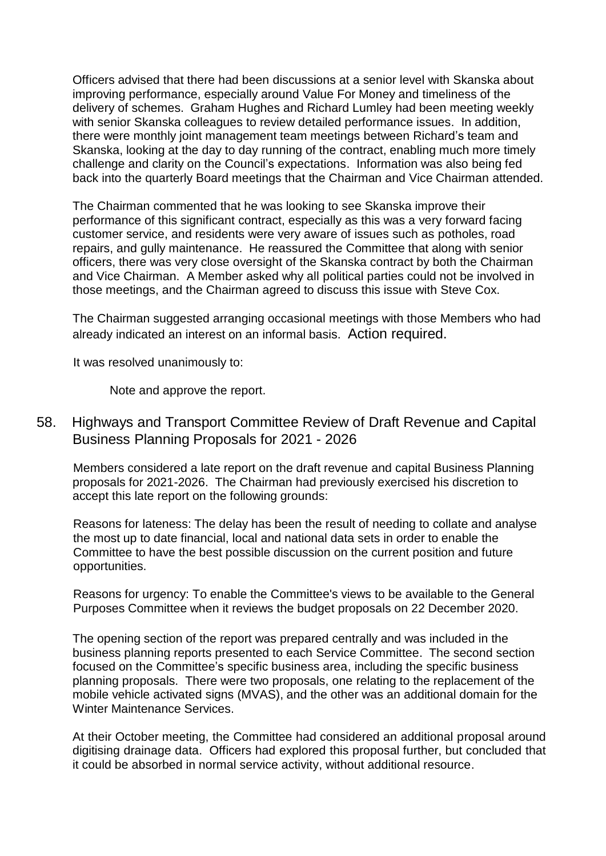Officers advised that there had been discussions at a senior level with Skanska about improving performance, especially around Value For Money and timeliness of the delivery of schemes. Graham Hughes and Richard Lumley had been meeting weekly with senior Skanska colleagues to review detailed performance issues. In addition, there were monthly joint management team meetings between Richard's team and Skanska, looking at the day to day running of the contract, enabling much more timely challenge and clarity on the Council's expectations. Information was also being fed back into the quarterly Board meetings that the Chairman and Vice Chairman attended.

The Chairman commented that he was looking to see Skanska improve their performance of this significant contract, especially as this was a very forward facing customer service, and residents were very aware of issues such as potholes, road repairs, and gully maintenance. He reassured the Committee that along with senior officers, there was very close oversight of the Skanska contract by both the Chairman and Vice Chairman. A Member asked why all political parties could not be involved in those meetings, and the Chairman agreed to discuss this issue with Steve Cox.

The Chairman suggested arranging occasional meetings with those Members who had already indicated an interest on an informal basis. Action required.

It was resolved unanimously to:

Note and approve the report.

## 58. Highways and Transport Committee Review of Draft Revenue and Capital Business Planning Proposals for 2021 - 2026

Members considered a late report on the draft revenue and capital Business Planning proposals for 2021-2026. The Chairman had previously exercised his discretion to accept this late report on the following grounds:

Reasons for lateness: The delay has been the result of needing to collate and analyse the most up to date financial, local and national data sets in order to enable the Committee to have the best possible discussion on the current position and future opportunities.

Reasons for urgency: To enable the Committee's views to be available to the General Purposes Committee when it reviews the budget proposals on 22 December 2020.

The opening section of the report was prepared centrally and was included in the business planning reports presented to each Service Committee. The second section focused on the Committee's specific business area, including the specific business planning proposals. There were two proposals, one relating to the replacement of the mobile vehicle activated signs (MVAS), and the other was an additional domain for the Winter Maintenance Services.

At their October meeting, the Committee had considered an additional proposal around digitising drainage data. Officers had explored this proposal further, but concluded that it could be absorbed in normal service activity, without additional resource.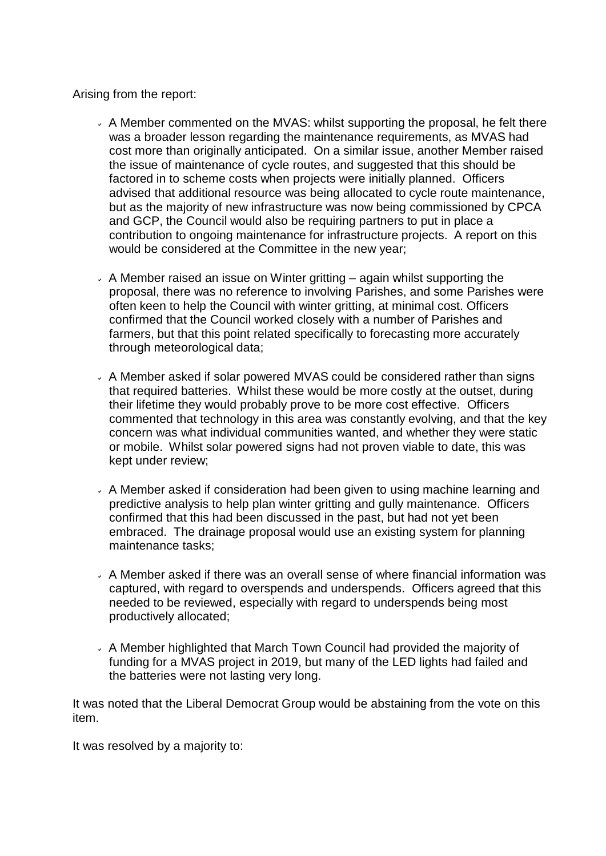Arising from the report:

- $\sim$  A Member commented on the MVAS: whilst supporting the proposal, he felt there was a broader lesson regarding the maintenance requirements, as MVAS had cost more than originally anticipated. On a similar issue, another Member raised the issue of maintenance of cycle routes, and suggested that this should be factored in to scheme costs when projects were initially planned. Officers advised that additional resource was being allocated to cycle route maintenance, but as the majority of new infrastructure was now being commissioned by CPCA and GCP, the Council would also be requiring partners to put in place a contribution to ongoing maintenance for infrastructure projects. A report on this would be considered at the Committee in the new year;
- $\sim$  A Member raised an issue on Winter gritting again whilst supporting the proposal, there was no reference to involving Parishes, and some Parishes were often keen to help the Council with winter gritting, at minimal cost. Officers confirmed that the Council worked closely with a number of Parishes and farmers, but that this point related specifically to forecasting more accurately through meteorological data;
- A Member asked if solar powered MVAS could be considered rather than signs that required batteries. Whilst these would be more costly at the outset, during their lifetime they would probably prove to be more cost effective. Officers commented that technology in this area was constantly evolving, and that the key concern was what individual communities wanted, and whether they were static or mobile. Whilst solar powered signs had not proven viable to date, this was kept under review;
- A Member asked if consideration had been given to using machine learning and predictive analysis to help plan winter gritting and gully maintenance. Officers confirmed that this had been discussed in the past, but had not yet been embraced. The drainage proposal would use an existing system for planning maintenance tasks;
- $\sim$  A Member asked if there was an overall sense of where financial information was captured, with regard to overspends and underspends. Officers agreed that this needed to be reviewed, especially with regard to underspends being most productively allocated;
- $\sim$  A Member highlighted that March Town Council had provided the majority of funding for a MVAS project in 2019, but many of the LED lights had failed and the batteries were not lasting very long.

It was noted that the Liberal Democrat Group would be abstaining from the vote on this item.

It was resolved by a majority to: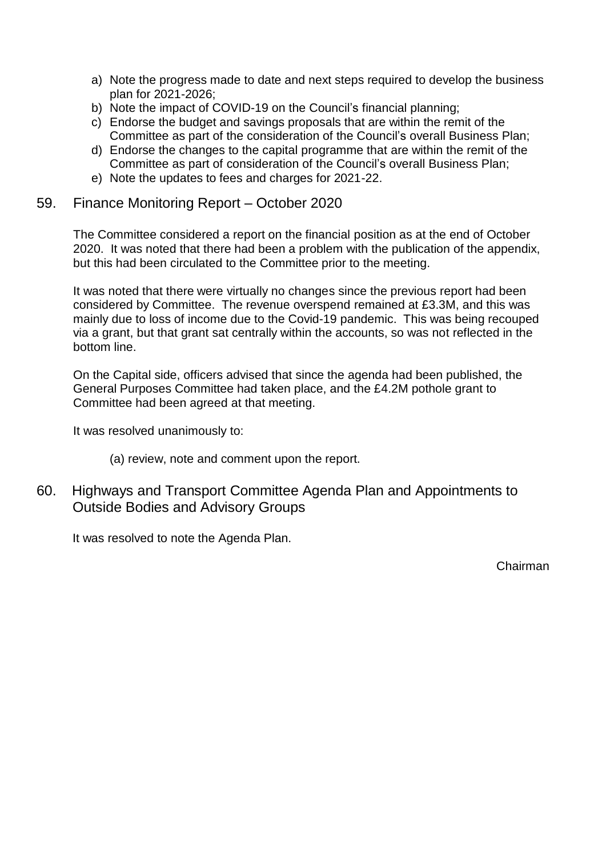- a) Note the progress made to date and next steps required to develop the business plan for 2021-2026;
- b) Note the impact of COVID-19 on the Council's financial planning;
- c) Endorse the budget and savings proposals that are within the remit of the Committee as part of the consideration of the Council's overall Business Plan;
- d) Endorse the changes to the capital programme that are within the remit of the Committee as part of consideration of the Council's overall Business Plan;
- e) Note the updates to fees and charges for 2021-22.

#### 59. Finance Monitoring Report – October 2020

The Committee considered a report on the financial position as at the end of October 2020. It was noted that there had been a problem with the publication of the appendix, but this had been circulated to the Committee prior to the meeting.

It was noted that there were virtually no changes since the previous report had been considered by Committee. The revenue overspend remained at £3.3M, and this was mainly due to loss of income due to the Covid-19 pandemic. This was being recouped via a grant, but that grant sat centrally within the accounts, so was not reflected in the bottom line.

On the Capital side, officers advised that since the agenda had been published, the General Purposes Committee had taken place, and the £4.2M pothole grant to Committee had been agreed at that meeting.

It was resolved unanimously to:

- (a) review, note and comment upon the report.
- 60. Highways and Transport Committee Agenda Plan and Appointments to Outside Bodies and Advisory Groups

It was resolved to note the Agenda Plan.

Chairman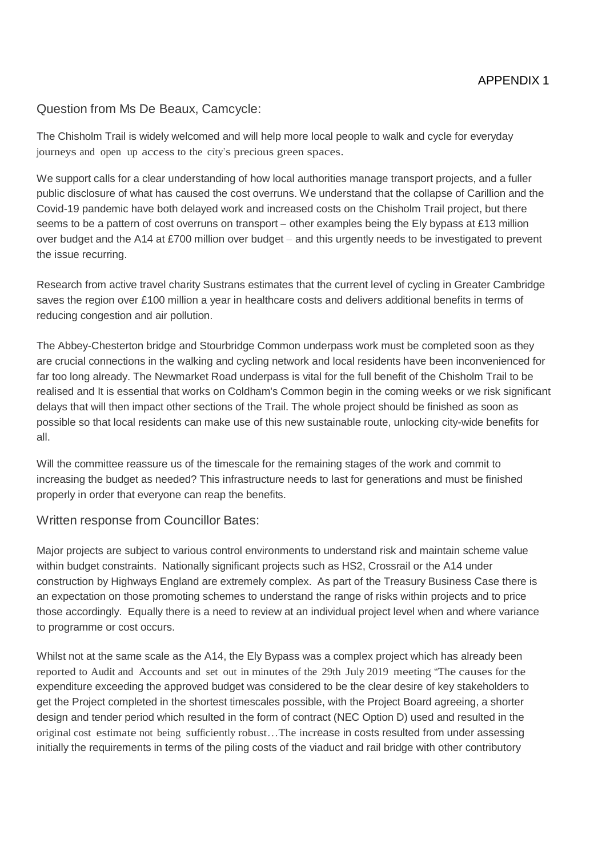#### Question from Ms De Beaux, Camcycle:

The Chisholm Trail is widely welcomed and will help more local people to walk and cycle for everyday journeys and open up access to the city's precious green spaces.

We support calls for a clear understanding of how local authorities manage transport projects, and a fuller public disclosure of what has caused the cost overruns. We understand that the collapse of Carillion and the Covid-19 pandemic have both delayed work and increased costs on the Chisholm Trail project, but there seems to be a pattern of cost overruns on transport – other examples being the Ely bypass at £13 million over budget and the A14 at £700 million over budget – and this urgently needs to be investigated to prevent the issue recurring.

Research from active travel charity Sustrans estimates that the current level of cycling in Greater Cambridge saves the region over £100 million a year in healthcare costs and delivers additional benefits in terms of reducing congestion and air pollution.

The Abbey-Chesterton bridge and Stourbridge Common underpass work must be completed soon as they are crucial connections in the walking and cycling network and local residents have been inconvenienced for far too long already. The Newmarket Road underpass is vital for the full benefit of the Chisholm Trail to be realised and It is essential that works on Coldham's Common begin in the coming weeks or we risk significant delays that will then impact other sections of the Trail. The whole project should be finished as soon as possible so that local residents can make use of this new sustainable route, unlocking city-wide benefits for all.

Will the committee reassure us of the timescale for the remaining stages of the work and commit to increasing the budget as needed? This infrastructure needs to last for generations and must be finished properly in order that everyone can reap the benefits.

#### Written response from Councillor Bates:

Major projects are subject to various control environments to understand risk and maintain scheme value within budget constraints. Nationally significant projects such as HS2, Crossrail or the A14 under construction by Highways England are extremely complex. As part of the Treasury Business Case there is an expectation on those promoting schemes to understand the range of risks within projects and to price those accordingly. Equally there is a need to review at an individual project level when and where variance to programme or cost occurs.

Whilst not at the same scale as the A14, the Ely Bypass was a complex project which has already been reported to Audit and Accounts and set out in minutes of the 29th July 2019 meeting "The causes for the expenditure exceeding the approved budget was considered to be the clear desire of key stakeholders to get the Project completed in the shortest timescales possible, with the Project Board agreeing, a shorter design and tender period which resulted in the form of contract (NEC Option D) used and resulted in the original cost estimate not being sufficiently robust…The increase in costs resulted from under assessing initially the requirements in terms of the piling costs of the viaduct and rail bridge with other contributory